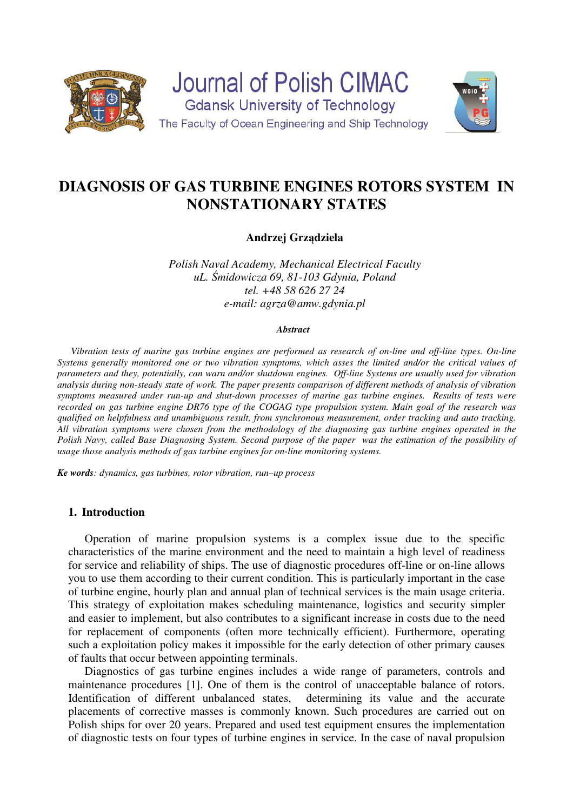



# **DIAGNOSIS OF GAS TURBINE ENGINES ROTORS SYSTEM IN NONSTATIONARY STATES**

# **Andrzej Grządziela**

*Polish Naval Academy, Mechanical Electrical Faculty uL. Śmidowicza 69, 81-103 Gdynia, Poland tel. +48 58 626 27 24 e-mail: agrza@amw.gdynia.pl* 

#### *Abstract*

*Vibration tests of marine gas turbine engines are performed as research of on-line and off-line types. On-line Systems generally monitored one or two vibration symptoms, which asses the limited and/or the critical values of parameters and they, potentially, can warn and/or shutdown engines. Off-line Systems are usually used for vibration analysis during non-steady state of work. The paper presents comparison of different methods of analysis of vibration symptoms measured under run-up and shut-down processes of marine gas turbine engines. Results of tests were recorded on gas turbine engine DR76 type of the COGAG type propulsion system. Main goal of the research was qualified on helpfulness and unambiguous result, from synchronous measurement, order tracking and auto tracking. All vibration symptoms were chosen from the methodology of the diagnosing gas turbine engines operated in the Polish Navy, called Base Diagnosing System. Second purpose of the paper was the estimation of the possibility of usage those analysis methods of gas turbine engines for on-line monitoring systems.* 

*Ke words: dynamics, gas turbines, rotor vibration, run–up process* 

# **1. Introduction**

Operation of marine propulsion systems is a complex issue due to the specific characteristics of the marine environment and the need to maintain a high level of readiness for service and reliability of ships. The use of diagnostic procedures off-line or on-line allows you to use them according to their current condition. This is particularly important in the case of turbine engine, hourly plan and annual plan of technical services is the main usage criteria. This strategy of exploitation makes scheduling maintenance, logistics and security simpler and easier to implement, but also contributes to a significant increase in costs due to the need for replacement of components (often more technically efficient). Furthermore, operating such a exploitation policy makes it impossible for the early detection of other primary causes of faults that occur between appointing terminals.

Diagnostics of gas turbine engines includes a wide range of parameters, controls and maintenance procedures [1]. One of them is the control of unacceptable balance of rotors. Identification of different unbalanced states, determining its value and the accurate placements of corrective masses is commonly known. Such procedures are carried out on Polish ships for over 20 years. Prepared and used test equipment ensures the implementation of diagnostic tests on four types of turbine engines in service. In the case of naval propulsion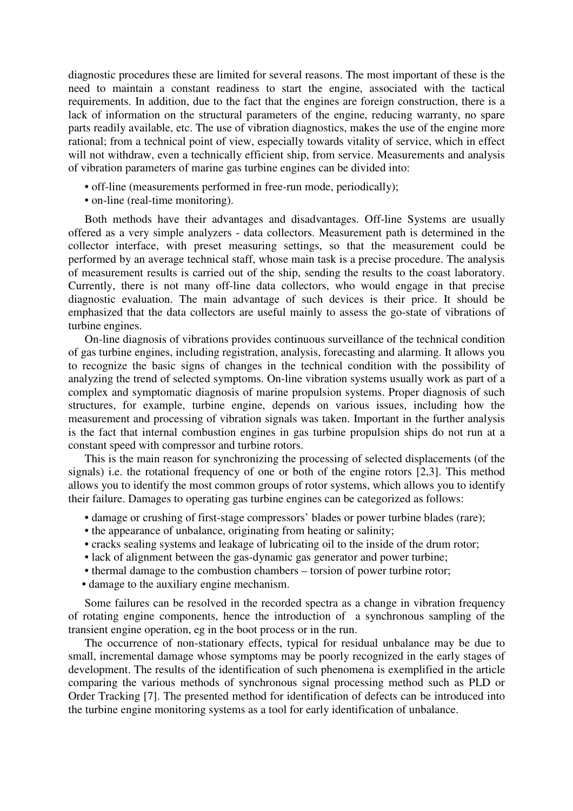diagnostic procedures these are limited for several reasons. The most important of these is the need to maintain a constant readiness to start the engine, associated with the tactical requirements. In addition, due to the fact that the engines are foreign construction, there is a lack of information on the structural parameters of the engine, reducing warranty, no spare parts readily available, etc. The use of vibration diagnostics, makes the use of the engine more rational; from a technical point of view, especially towards vitality of service, which in effect will not withdraw, even a technically efficient ship, from service. Measurements and analysis of vibration parameters of marine gas turbine engines can be divided into:

- off-line (measurements performed in free-run mode, periodically);
- on-line (real-time monitoring).

Both methods have their advantages and disadvantages. Off-line Systems are usually offered as a very simple analyzers - data collectors. Measurement path is determined in the collector interface, with preset measuring settings, so that the measurement could be performed by an average technical staff, whose main task is a precise procedure. The analysis of measurement results is carried out of the ship, sending the results to the coast laboratory. Currently, there is not many off-line data collectors, who would engage in that precise diagnostic evaluation. The main advantage of such devices is their price. It should be emphasized that the data collectors are useful mainly to assess the go-state of vibrations of turbine engines.

On-line diagnosis of vibrations provides continuous surveillance of the technical condition of gas turbine engines, including registration, analysis, forecasting and alarming. It allows you to recognize the basic signs of changes in the technical condition with the possibility of analyzing the trend of selected symptoms. On-line vibration systems usually work as part of a complex and symptomatic diagnosis of marine propulsion systems. Proper diagnosis of such structures, for example, turbine engine, depends on various issues, including how the measurement and processing of vibration signals was taken. Important in the further analysis is the fact that internal combustion engines in gas turbine propulsion ships do not run at a constant speed with compressor and turbine rotors.

This is the main reason for synchronizing the processing of selected displacements (of the signals) i.e. the rotational frequency of one or both of the engine rotors [2,3]. This method allows you to identify the most common groups of rotor systems, which allows you to identify their failure. Damages to operating gas turbine engines can be categorized as follows:

- damage or crushing of first-stage compressors' blades or power turbine blades (rare);
- the appearance of unbalance, originating from heating or salinity;
- cracks sealing systems and leakage of lubricating oil to the inside of the drum rotor;
- lack of alignment between the gas-dynamic gas generator and power turbine;
- thermal damage to the combustion chambers torsion of power turbine rotor;
- damage to the auxiliary engine mechanism.

Some failures can be resolved in the recorded spectra as a change in vibration frequency of rotating engine components, hence the introduction of a synchronous sampling of the transient engine operation, eg in the boot process or in the run.

The occurrence of non-stationary effects, typical for residual unbalance may be due to small, incremental damage whose symptoms may be poorly recognized in the early stages of development. The results of the identification of such phenomena is exemplified in the article comparing the various methods of synchronous signal processing method such as PLD or Order Tracking [7]. The presented method for identification of defects can be introduced into the turbine engine monitoring systems as a tool for early identification of unbalance.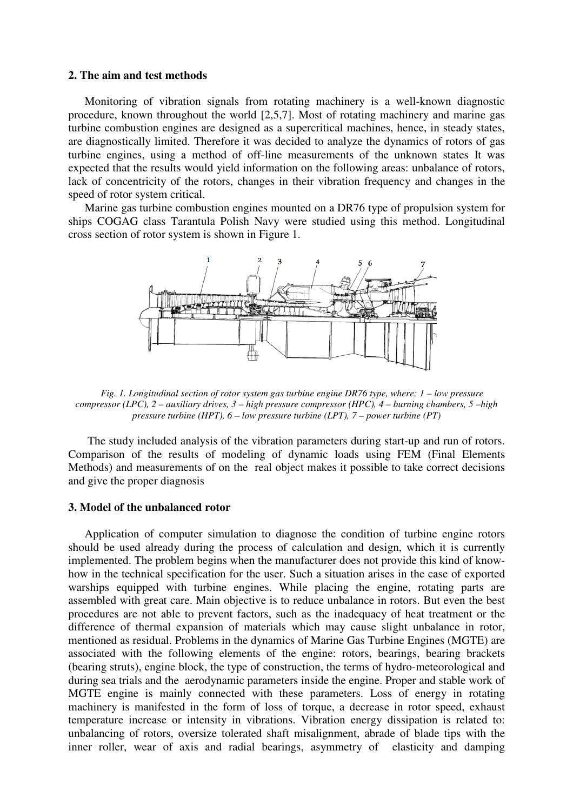### **2. The aim and test methods**

Monitoring of vibration signals from rotating machinery is a well-known diagnostic procedure, known throughout the world [2,5,7]. Most of rotating machinery and marine gas turbine combustion engines are designed as a supercritical machines, hence, in steady states, are diagnostically limited. Therefore it was decided to analyze the dynamics of rotors of gas turbine engines, using a method of off-line measurements of the unknown states It was expected that the results would yield information on the following areas: unbalance of rotors, lack of concentricity of the rotors, changes in their vibration frequency and changes in the speed of rotor system critical.

Marine gas turbine combustion engines mounted on a DR76 type of propulsion system for ships COGAG class Tarantula Polish Navy were studied using this method. Longitudinal cross section of rotor system is shown in Figure 1.



*Fig. 1. Longitudinal section of rotor system gas turbine engine DR76 type, where: 1 – low pressure compressor (LPC), 2 – auxiliary drives, 3 – high pressure compressor (HPC), 4 – burning chambers, 5 –high pressure turbine (HPT), 6 – low pressure turbine (LPT), 7 – power turbine (PT)* 

 The study included analysis of the vibration parameters during start-up and run of rotors. Comparison of the results of modeling of dynamic loads using FEM (Final Elements Methods) and measurements of on the real object makes it possible to take correct decisions and give the proper diagnosis

# **3. Model of the unbalanced rotor**

Application of computer simulation to diagnose the condition of turbine engine rotors should be used already during the process of calculation and design, which it is currently implemented. The problem begins when the manufacturer does not provide this kind of knowhow in the technical specification for the user. Such a situation arises in the case of exported warships equipped with turbine engines. While placing the engine, rotating parts are assembled with great care. Main objective is to reduce unbalance in rotors. But even the best procedures are not able to prevent factors, such as the inadequacy of heat treatment or the difference of thermal expansion of materials which may cause slight unbalance in rotor, mentioned as residual. Problems in the dynamics of Marine Gas Turbine Engines (MGTE) are associated with the following elements of the engine: rotors, bearings, bearing brackets (bearing struts), engine block, the type of construction, the terms of hydro-meteorological and during sea trials and the aerodynamic parameters inside the engine. Proper and stable work of MGTE engine is mainly connected with these parameters. Loss of energy in rotating machinery is manifested in the form of loss of torque, a decrease in rotor speed, exhaust temperature increase or intensity in vibrations. Vibration energy dissipation is related to: unbalancing of rotors, oversize tolerated shaft misalignment, abrade of blade tips with the inner roller, wear of axis and radial bearings, asymmetry of elasticity and damping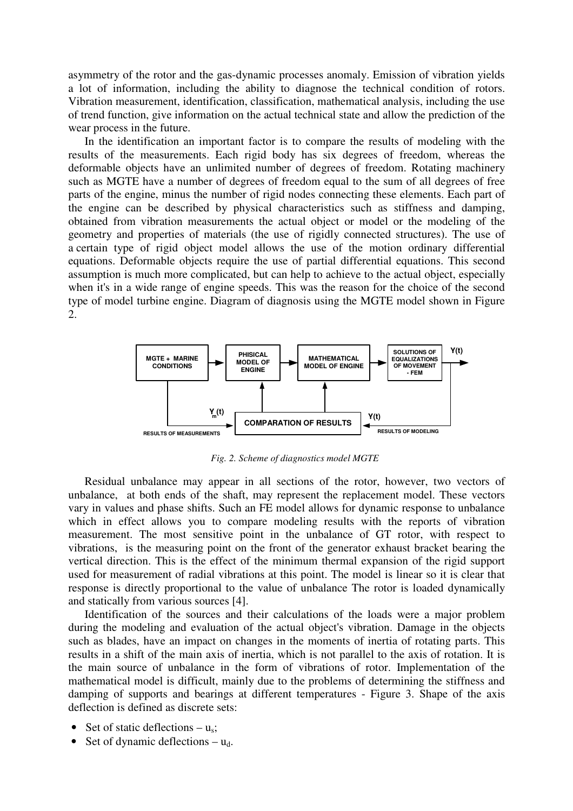asymmetry of the rotor and the gas-dynamic processes anomaly. Emission of vibration yields a lot of information, including the ability to diagnose the technical condition of rotors. Vibration measurement, identification, classification, mathematical analysis, including the use of trend function, give information on the actual technical state and allow the prediction of the wear process in the future.

In the identification an important factor is to compare the results of modeling with the results of the measurements. Each rigid body has six degrees of freedom, whereas the deformable objects have an unlimited number of degrees of freedom. Rotating machinery such as MGTE have a number of degrees of freedom equal to the sum of all degrees of free parts of the engine, minus the number of rigid nodes connecting these elements. Each part of the engine can be described by physical characteristics such as stiffness and damping, obtained from vibration measurements the actual object or model or the modeling of the geometry and properties of materials (the use of rigidly connected structures). The use of a certain type of rigid object model allows the use of the motion ordinary differential equations. Deformable objects require the use of partial differential equations. This second assumption is much more complicated, but can help to achieve to the actual object, especially when it's in a wide range of engine speeds. This was the reason for the choice of the second type of model turbine engine. Diagram of diagnosis using the MGTE model shown in Figure 2.



*Fig. 2. Scheme of diagnostics model MGTE* 

Residual unbalance may appear in all sections of the rotor, however, two vectors of unbalance, at both ends of the shaft, may represent the replacement model. These vectors vary in values and phase shifts. Such an FE model allows for dynamic response to unbalance which in effect allows you to compare modeling results with the reports of vibration measurement. The most sensitive point in the unbalance of GT rotor, with respect to vibrations, is the measuring point on the front of the generator exhaust bracket bearing the vertical direction. This is the effect of the minimum thermal expansion of the rigid support used for measurement of radial vibrations at this point. The model is linear so it is clear that response is directly proportional to the value of unbalance The rotor is loaded dynamically and statically from various sources [4].

Identification of the sources and their calculations of the loads were a major problem during the modeling and evaluation of the actual object's vibration. Damage in the objects such as blades, have an impact on changes in the moments of inertia of rotating parts. This results in a shift of the main axis of inertia, which is not parallel to the axis of rotation. It is the main source of unbalance in the form of vibrations of rotor. Implementation of the mathematical model is difficult, mainly due to the problems of determining the stiffness and damping of supports and bearings at different temperatures - Figure 3. Shape of the axis deflection is defined as discrete sets:

- Set of static deflections  $-$  u<sub>s</sub>:
- Set of dynamic deflections  $u_d$ .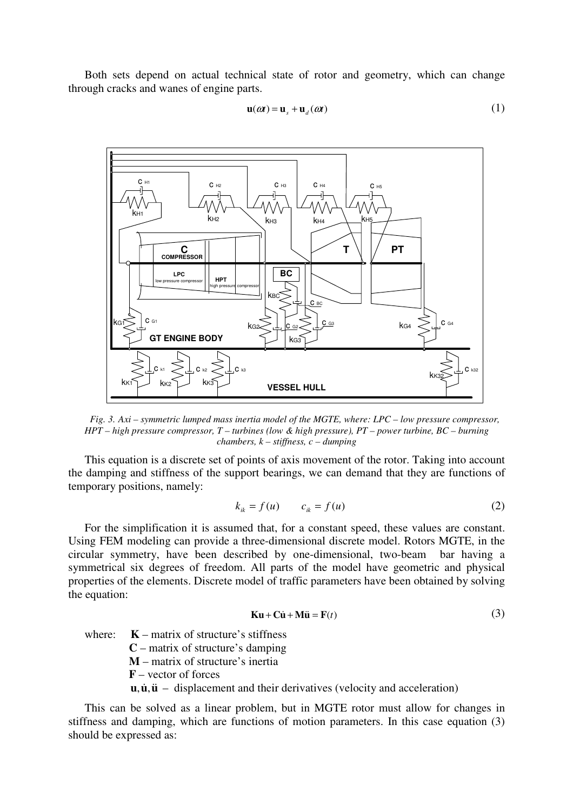Both sets depend on actual technical state of rotor and geometry, which can change through cracks and wanes of engine parts.

$$
\mathbf{u}(\omega t) = \mathbf{u}_s + \mathbf{u}_d(\omega t) \tag{1}
$$



*Fig. 3. Axi – symmetric lumped mass inertia model of the MGTE, where: LPC – low pressure compressor, HPT – high pressure compressor, T – turbines (low & high pressure), PT – power turbine, BC – burning chambers, k – stiffness, c – dumping*

This equation is a discrete set of points of axis movement of the rotor. Taking into account the damping and stiffness of the support bearings, we can demand that they are functions of temporary positions, namely:

$$
k_{ik} = f(u) \qquad c_{ik} = f(u) \tag{2}
$$

For the simplification it is assumed that, for a constant speed, these values are constant. Using FEM modeling can provide a three-dimensional discrete model. Rotors MGTE, in the circular symmetry, have been described by one-dimensional, two-beam bar having a symmetrical six degrees of freedom. All parts of the model have geometric and physical properties of the elements. Discrete model of traffic parameters have been obtained by solving the equation:

$$
Ku + Cu + M\ddot{u} = F(t)
$$
 (3)

where: 
$$
K
$$
 – matrix of structure's stiffness  $C$  – matrix of structure's damping  $M$  – matrix of structure's inertia  $F$  – vector of forces  $\mathbf{u}, \dot{\mathbf{u}}, \ddot{\mathbf{u}}$  – displacement and their derivatives (velocity and acceleration)

This can be solved as a linear problem, but in MGTE rotor must allow for changes in stiffness and damping, which are functions of motion parameters. In this case equation (3) should be expressed as: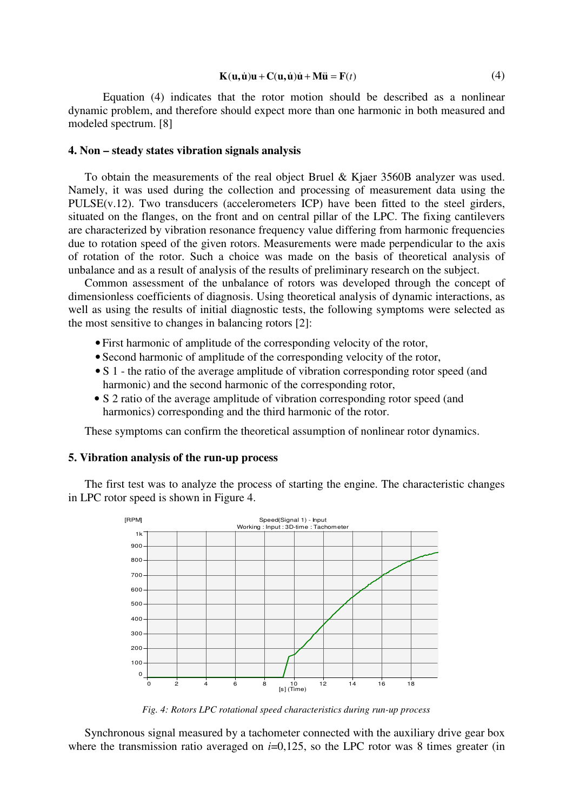$$
\mathbf{K}(\mathbf{u}, \dot{\mathbf{u}})\mathbf{u} + \mathbf{C}(\mathbf{u}, \dot{\mathbf{u}})\dot{\mathbf{u}} + \mathbf{M}\ddot{\mathbf{u}} = \mathbf{F}(t)
$$
(4)

Equation (4) indicates that the rotor motion should be described as a nonlinear dynamic problem, and therefore should expect more than one harmonic in both measured and modeled spectrum. [8]

#### **4. Non – steady states vibration signals analysis**

To obtain the measurements of the real object Bruel & Kjaer 3560B analyzer was used. Namely, it was used during the collection and processing of measurement data using the PULSE(v.12). Two transducers (accelerometers ICP) have been fitted to the steel girders, situated on the flanges, on the front and on central pillar of the LPC. The fixing cantilevers are characterized by vibration resonance frequency value differing from harmonic frequencies due to rotation speed of the given rotors. Measurements were made perpendicular to the axis of rotation of the rotor. Such a choice was made on the basis of theoretical analysis of unbalance and as a result of analysis of the results of preliminary research on the subject.

Common assessment of the unbalance of rotors was developed through the concept of dimensionless coefficients of diagnosis. Using theoretical analysis of dynamic interactions, as well as using the results of initial diagnostic tests, the following symptoms were selected as the most sensitive to changes in balancing rotors [2]:

- First harmonic of amplitude of the corresponding velocity of the rotor,
- Second harmonic of amplitude of the corresponding velocity of the rotor,
- S 1 the ratio of the average amplitude of vibration corresponding rotor speed (and harmonic) and the second harmonic of the corresponding rotor,
- S 2 ratio of the average amplitude of vibration corresponding rotor speed (and harmonics) corresponding and the third harmonic of the rotor.

These symptoms can confirm the theoretical assumption of nonlinear rotor dynamics.

## **5. Vibration analysis of the run-up process**

The first test was to analyze the process of starting the engine. The characteristic changes in LPC rotor speed is shown in Figure 4.



*Fig. 4: Rotors LPC rotational speed characteristics during run-up process* 

Synchronous signal measured by a tachometer connected with the auxiliary drive gear box where the transmission ratio averaged on  $i=0,125$ , so the LPC rotor was 8 times greater (in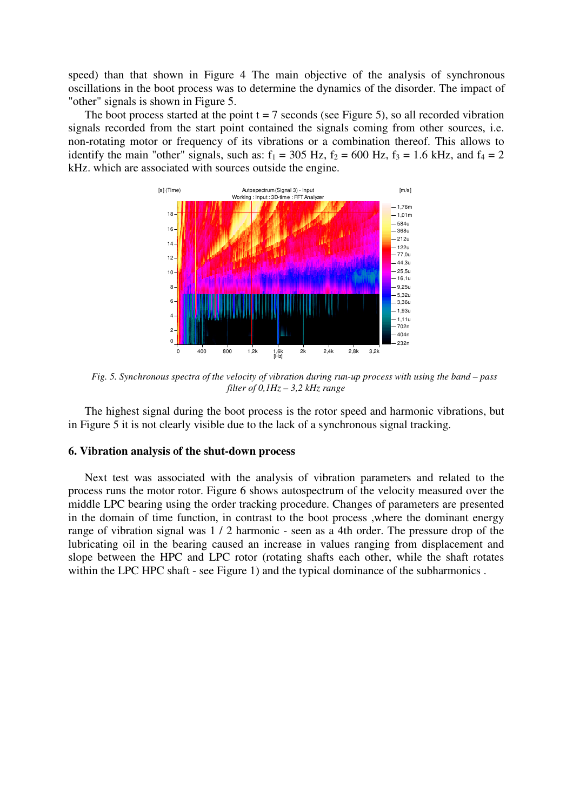speed) than that shown in Figure 4 The main objective of the analysis of synchronous oscillations in the boot process was to determine the dynamics of the disorder. The impact of "other" signals is shown in Figure 5.

The boot process started at the point  $t = 7$  seconds (see Figure 5), so all recorded vibration signals recorded from the start point contained the signals coming from other sources, i.e. non-rotating motor or frequency of its vibrations or a combination thereof. This allows to identify the main "other" signals, such as:  $f_1 = 305$  Hz,  $f_2 = 600$  Hz,  $f_3 = 1.6$  kHz, and  $f_4 = 2$ kHz. which are associated with sources outside the engine.



*Fig. 5. Synchronous spectra of the velocity of vibration during run-up process with using the band – pass filter of 0,1Hz – 3,2 kHz range* 

The highest signal during the boot process is the rotor speed and harmonic vibrations, but in Figure 5 it is not clearly visible due to the lack of a synchronous signal tracking.

## **6. Vibration analysis of the shut-down process**

Next test was associated with the analysis of vibration parameters and related to the process runs the motor rotor. Figure 6 shows autospectrum of the velocity measured over the middle LPC bearing using the order tracking procedure. Changes of parameters are presented in the domain of time function, in contrast to the boot process ,where the dominant energy range of vibration signal was 1 / 2 harmonic - seen as a 4th order. The pressure drop of the lubricating oil in the bearing caused an increase in values ranging from displacement and slope between the HPC and LPC rotor (rotating shafts each other, while the shaft rotates within the LPC HPC shaft - see Figure 1) and the typical dominance of the subharmonics.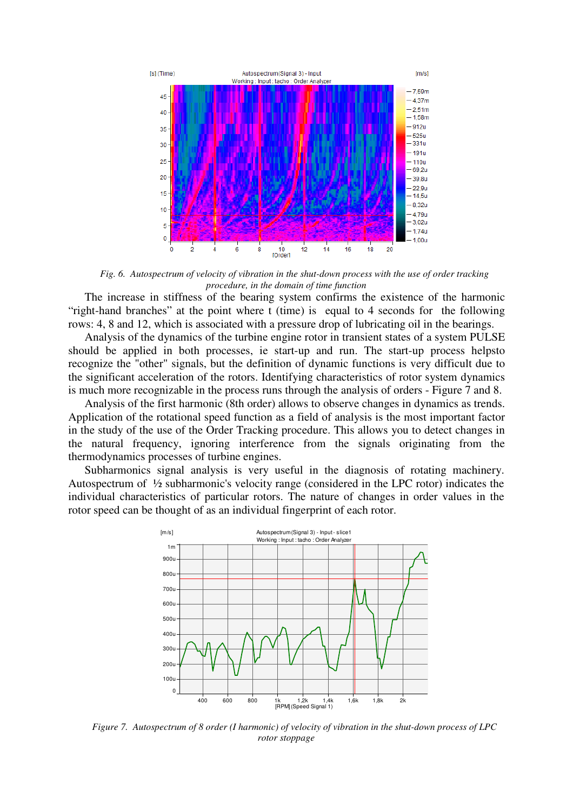

*Fig. 6. Autospectrum of velocity of vibration in the shut-down process with the use of order tracking procedure, in the domain of time function* 

The increase in stiffness of the bearing system confirms the existence of the harmonic "right-hand branches" at the point where t (time) is equal to 4 seconds for the following rows: 4, 8 and 12, which is associated with a pressure drop of lubricating oil in the bearings.

Analysis of the dynamics of the turbine engine rotor in transient states of a system PULSE should be applied in both processes, ie start-up and run. The start-up process helpsto recognize the "other" signals, but the definition of dynamic functions is very difficult due to the significant acceleration of the rotors. Identifying characteristics of rotor system dynamics is much more recognizable in the process runs through the analysis of orders - Figure 7 and 8.

Analysis of the first harmonic (8th order) allows to observe changes in dynamics as trends. Application of the rotational speed function as a field of analysis is the most important factor in the study of the use of the Order Tracking procedure. This allows you to detect changes in the natural frequency, ignoring interference from the signals originating from the thermodynamics processes of turbine engines.

Subharmonics signal analysis is very useful in the diagnosis of rotating machinery. Autospectrum of ½ subharmonic's velocity range (considered in the LPC rotor) indicates the individual characteristics of particular rotors. The nature of changes in order values in the rotor speed can be thought of as an individual fingerprint of each rotor.



*Figure 7. Autospectrum of 8 order (I harmonic) of velocity of vibration in the shut-down process of LPC rotor stoppage*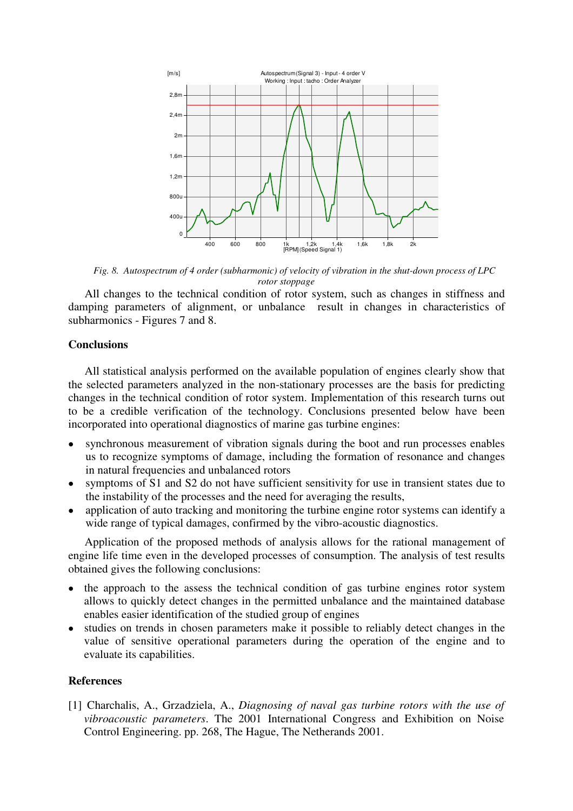

*Fig. 8. Autospectrum of 4 order (subharmonic) of velocity of vibration in the shut-down process of LPC rotor stoppage*

All changes to the technical condition of rotor system, such as changes in stiffness and damping parameters of alignment, or unbalance result in changes in characteristics of subharmonics - Figures 7 and 8.

# **Conclusions**

All statistical analysis performed on the available population of engines clearly show that the selected parameters analyzed in the non-stationary processes are the basis for predicting changes in the technical condition of rotor system. Implementation of this research turns out to be a credible verification of the technology. Conclusions presented below have been incorporated into operational diagnostics of marine gas turbine engines:

- synchronous measurement of vibration signals during the boot and run processes enables us to recognize symptoms of damage, including the formation of resonance and changes in natural frequencies and unbalanced rotors
- symptoms of S1 and S2 do not have sufficient sensitivity for use in transient states due to the instability of the processes and the need for averaging the results,
- application of auto tracking and monitoring the turbine engine rotor systems can identify a wide range of typical damages, confirmed by the vibro-acoustic diagnostics.

Application of the proposed methods of analysis allows for the rational management of engine life time even in the developed processes of consumption. The analysis of test results obtained gives the following conclusions:

- the approach to the assess the technical condition of gas turbine engines rotor system allows to quickly detect changes in the permitted unbalance and the maintained database enables easier identification of the studied group of engines
- studies on trends in chosen parameters make it possible to reliably detect changes in the value of sensitive operational parameters during the operation of the engine and to evaluate its capabilities.

# **References**

[1] Charchalis, A., Grzadziela, A., *Diagnosing of naval gas turbine rotors with the use of vibroacoustic parameters*. The 2001 International Congress and Exhibition on Noise Control Engineering. pp. 268, The Hague, The Netherands 2001.